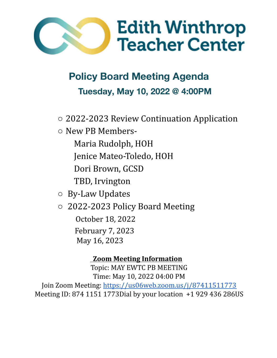

**Policy Board Meeting Agenda Tuesday, May 10, 2022 @ 4:00PM**

- 2022-2023 Review Continuation Application
- New PB Members-
	- Maria Rudolph, HOH
	- Jenice Mateo-Toledo, HOH
	- Dori Brown, GCSD
	- TBD, Irvington
- By-Law Updates
- 2022-2023 Policy Board Meeting

October 18, 2022 February 7, 2023 May 16, 2023

# **Zoom Meeting Information**

Topic: MAY EWTC PB MEETING Time: May 10, 2022 04:00 PM Join Zoom Meeting: <https://us06web.zoom.us/j/87411511773> Meeting ID: 874 1151 1773Dial by your location +1 929 436 286US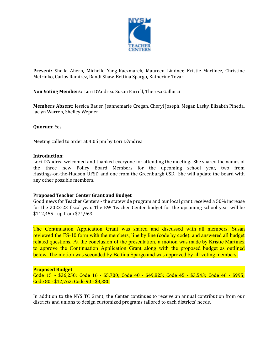

**Present:** Sheila Ahern, Michelle Yang-Kaczmarek, Maureen Lindner, Kristie Martinez, Christine Metrinko, Carlos Ramirez, Randi Shaw, Bettina Spargo, Katherine Tovar

# **Non Voting Members:** Lori D'Andrea. Susan Farrell, Theresa Gallucci

**Members Absent**: Jessica Bauer, Jeannemarie Cregan, Cheryl Joseph, Megan Lasky, Elizabth Pineda, Jaclyn Warren, Shelley Wepner

# **Quorum:** Yes

Meeting called to order at 4:05 pm by Lori D'Andrea

#### **Introduction:**

Lori D'Andrea welcomed and thanked everyone for attending the meeting. She shared the names of the three new Policy Board Members for the upcoming school year, two from Hastings-on-the-Hudson UFSD and one from the Greenburgh CSD. She will update the board with any other possible members.

#### **Proposed Teacher Center Grant and Budget**

Good news for Teacher Centers - the statewide program and our local grant received a 50% increase for the 2022-23 fiscal year. The EW Teacher Center budget for the upcoming school year will be \$112,455 - up from \$74,963.

The Continuation Application Grant was shared and discussed with all members. Susan reviewed the FS-10 form with the members, line by line (code by code), and answered all budget related questions. At the conclusion of the presentation, a motion was made by Kristie Martinez to approve the Continuation Application Grant along with the proposed budget as outlined below. The motion was seconded by Bettina Spargo and was approved by all voting members.

# **Proposed Budget**

Code 15 - \$36,250; Code 16 - \$5,700; Code 40 - \$49,825; Code 45 - \$3,543; Code 46 - \$995; Code 80 - \$12,762; Code 90 - \$3,380

In addition to the NYS TC Grant, the Center continues to receive an annual contribution from our districts and unions to design customized programs tailored to each districts' needs.